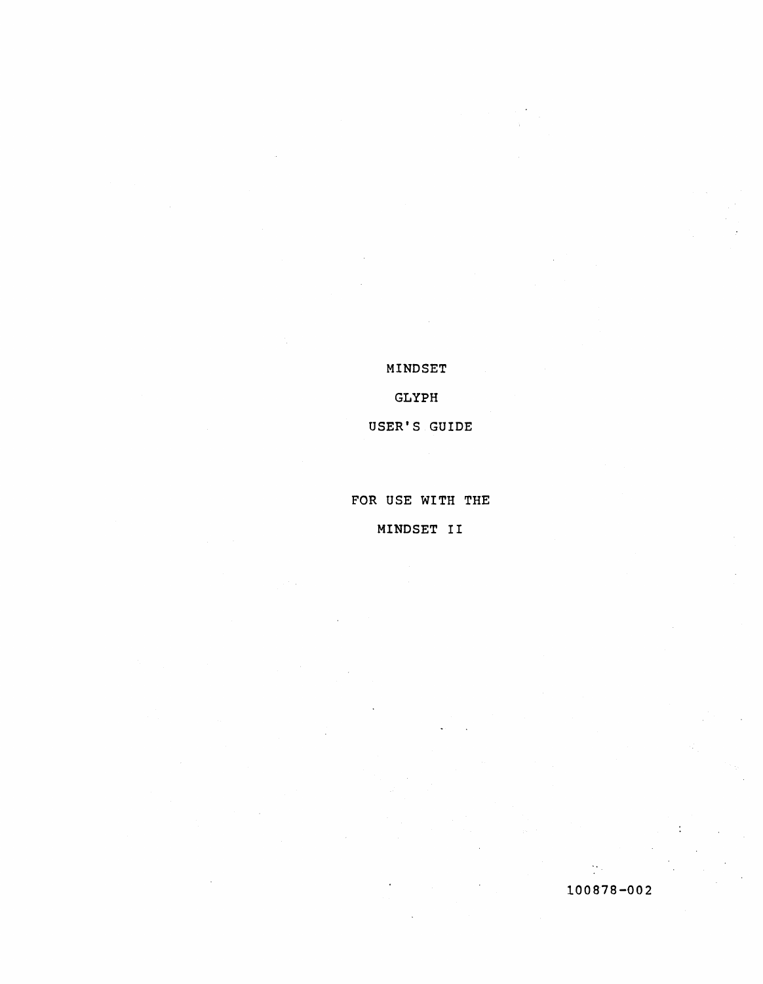MINDSET

GLYPH

USER'S GUIDE

FOR USE WITH THE

MINDSET II

100878-002

M.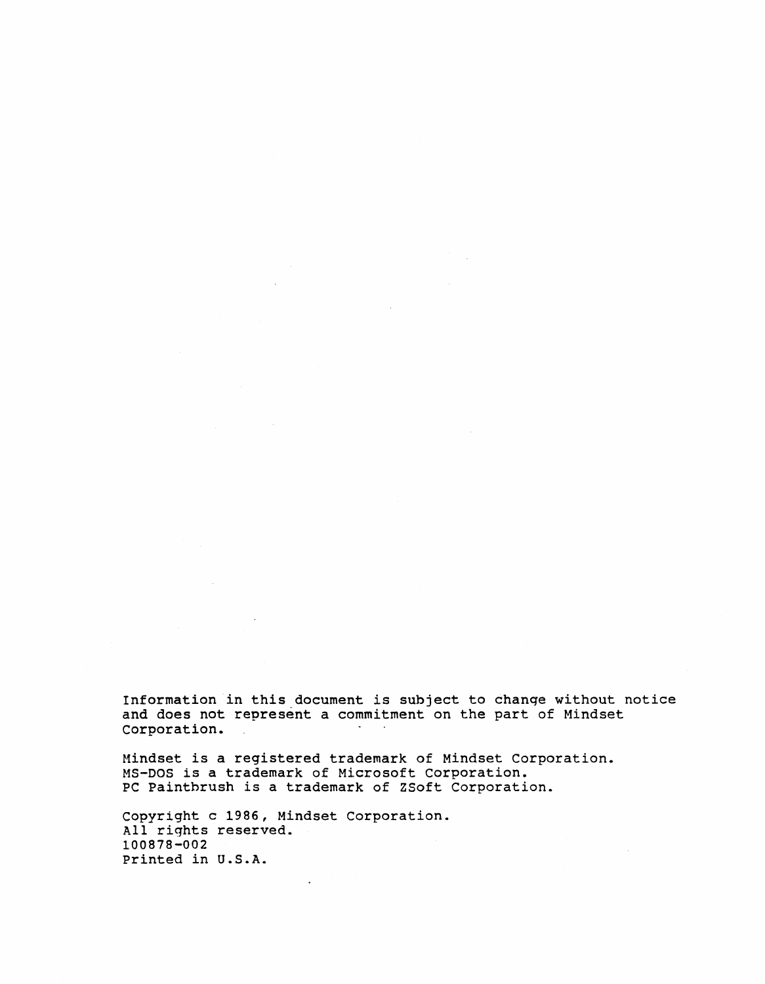Information in this document is subject to change without notice and does not represent a commitment on the part of Mindset Corporation.

Mindset is a registered trademark of Mindset Corporation. MS-DOS is a trademark of Microsoft corporation. PC Paintbrush is a trademark of ZSoft Corporation.

copyright c 1986, Mindset Corporation. All rights reserved. 100878-002 printed in U.S.A.

 $\sim$ 

 $\bar{L}$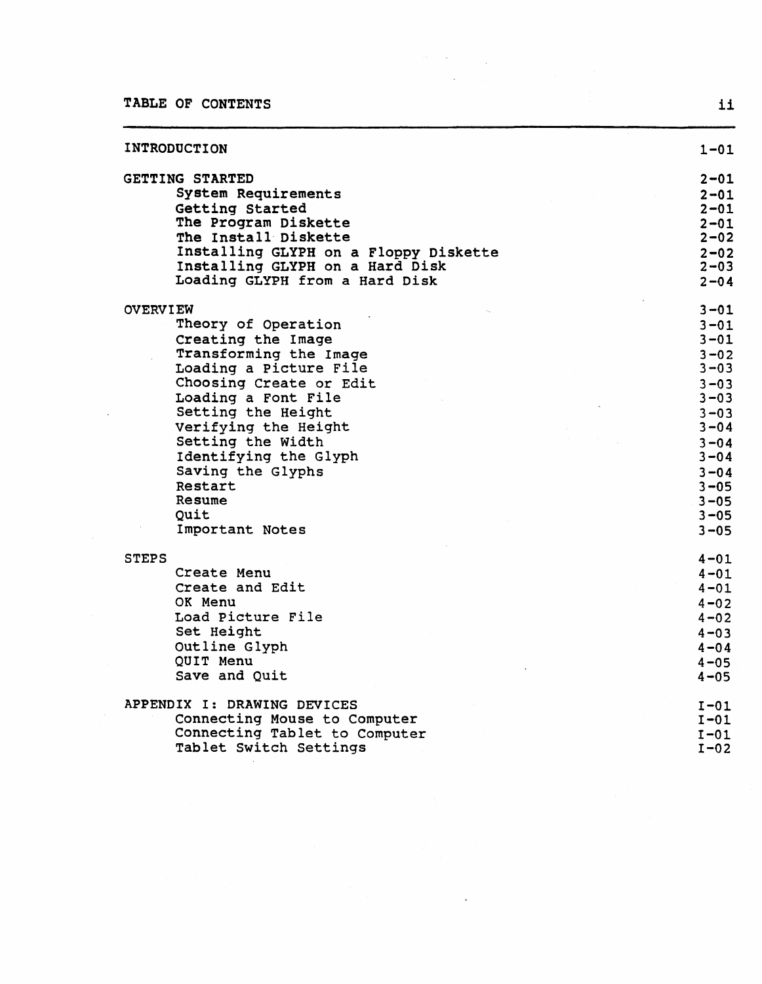$\bar{\mathcal{A}}$ 

| INTRODUCTION                          | $1 - 01$ |
|---------------------------------------|----------|
| GETTING STARTED                       | $2 - 01$ |
| System Requirements                   | $2 - 01$ |
| Getting Started                       | $2 - 01$ |
| The Program Diskette                  | $2 - 01$ |
| The Install Diskette                  | $2 - 02$ |
| Installing GLYPH on a Floppy Diskette | $2 - 02$ |
| Installing GLYPH on a Hard Disk       | $2 - 03$ |
| Loading GLYPH from a Hard Disk        | $2 - 04$ |
| <b>OVERVIEW</b>                       | $3 - 01$ |
| Theory of Operation                   | $3 - 01$ |
| Creating the Image                    | $3 - 01$ |
| Transforming the Image                | $3 - 02$ |
| Loading a Picture File                | $3 - 03$ |
| Choosing Create or Edit               | $3 - 03$ |
| Loading a Font File                   | $3 - 03$ |
| Setting the Height                    | $3 - 03$ |
| Verifying the Height                  | $3 - 04$ |
| Setting the Width                     | $3 - 04$ |
| Identifying the Glyph                 | $3 - 04$ |
| Saving the Glyphs                     | $3 - 04$ |
| Restart                               | $3 - 05$ |
| Resume                                | $3 - 05$ |
| Quit                                  | $3 - 05$ |
| Important Notes                       | $3 - 05$ |
| <b>STEPS</b>                          | $4 - 01$ |
| Create Menu                           | $4 - 01$ |
| Create and Edit                       | $4 - 01$ |
| OK Menu                               | $4 - 02$ |
| Load Picture File                     | $4 - 02$ |
| Set Height                            | $4 - 03$ |
| Outline Glyph                         | $4 - 04$ |
| <b>OUIT Menu</b>                      | $4 - 05$ |
| Save and Quit                         | $4 - 05$ |
| APPENDIX I: DRAWING DEVICES           | $I-01$   |
| Connecting Mouse to Computer          | $I-01$   |
| Connecting Tablet to Computer         | $1-01$   |
| Tablet Switch Settings                | $I-02$   |

 $\frac{1}{2} \frac{1}{2} \frac{1}{2}$ 

 $\mathcal{L}$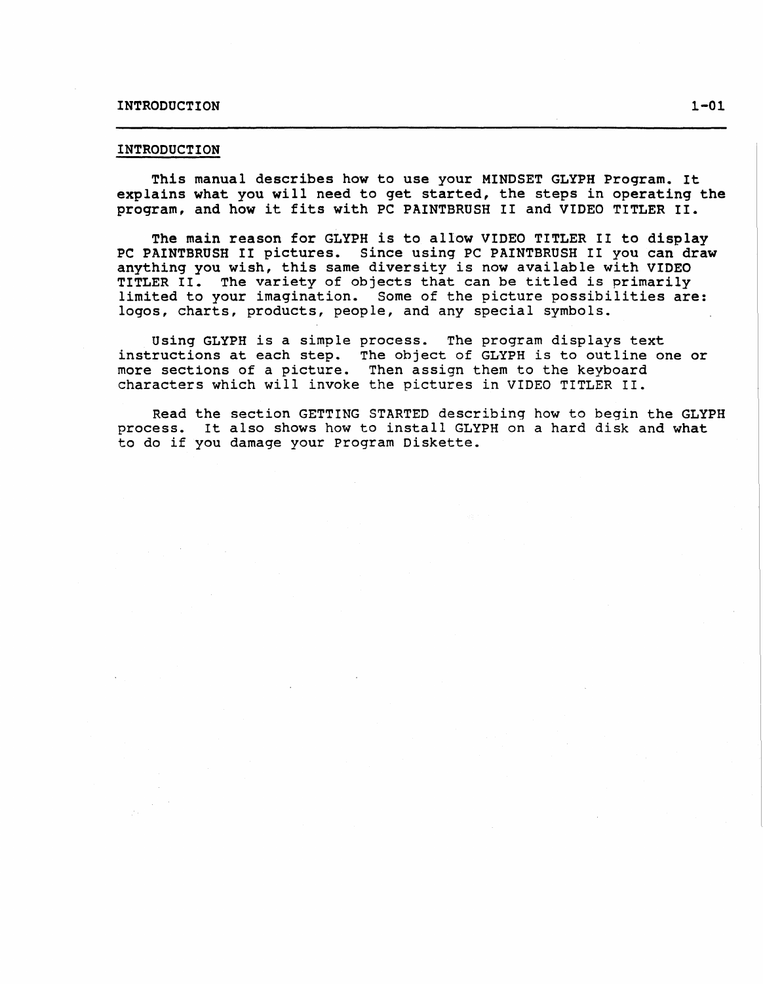# INTRODUCTION 1-01

#### INTRODUCTION

This manual describes how to use your MINDSET GLYPH Program. It explains what you will need to get started, the steps in operating the program, and how it fits with PC PAINTBRUSH II and VIDEO TITLER II.

The main reason for GLYPH is to allow VIDEO TITLER II to display PC PAINTBRUSH II pictures. Since using PC PAINTBRUSH II you can draw anything you wish, this same diversity is now available with VIDEO TITLER II. The variety of objects that can be titled is primarily limited to your imagination. Some of the picture possibilities are: logos, charts, products, people, and any special symbols.

Using GLYPH is a simple process. The program displays text instructions at each step. The object of GLYPH is to outline one or more sections of a picture. Then assign them to the keyboard characters which will invoke the pictures in VIDEO TITLER II.

Read the section GETTING STARTED describing how to begin the GLYPH process. It also shows how to install GLYPH on a hard disk and what to do if you damage your program Diskette.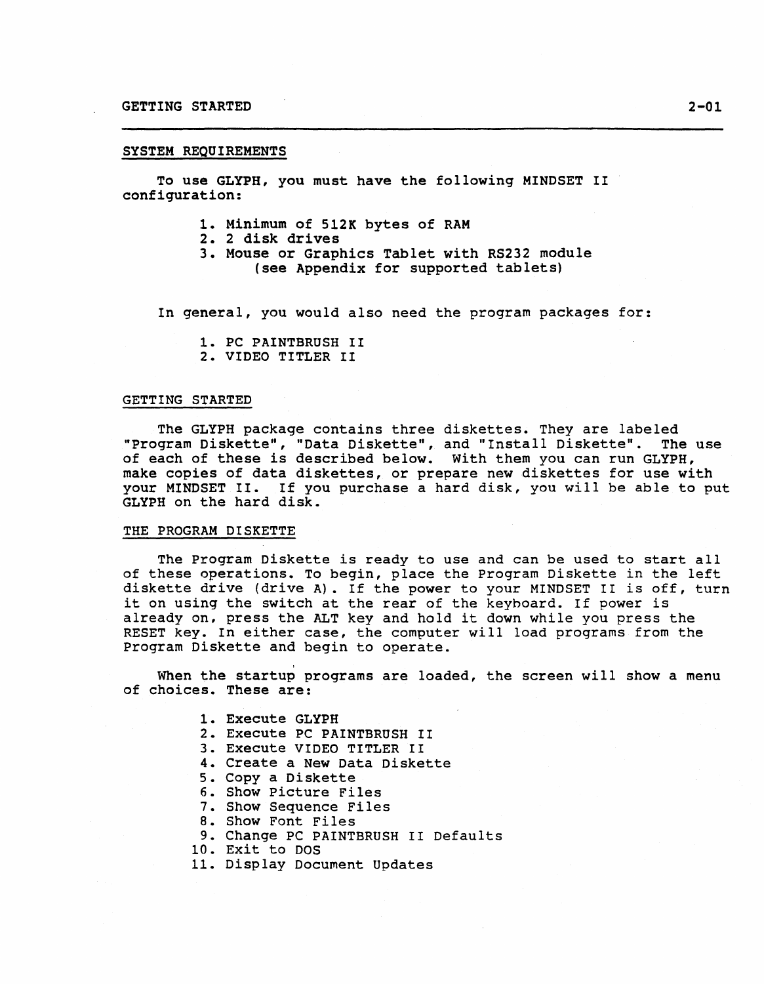#### SYSTEM REQUIREMENTS

To use GLYPH, you must have the following MINDSET II configuration:

- 1. Minimum of 512K bytes of RAM
- 2. 2 disk drives
- 3. Mouse or Graphics Tablet with RS232 module (see Appendix for supported tablets)

In general, you would also need the program packages for:

1. PC PAINTBRUSH II 2. VIDEO TITLER II

#### GETTING STARTED

The GLYPH package contains three diskettes. They are labeled "program Diskette", "Data Diskette", and "Install Diskette". The use of each of these is described below. With them you can run GLYPH, make copies of data diskettes, or prepare new diskettes for use with your MINDSET II. If you purchase a hard disk, you will be able to put GLYPH on the hard disk.

## THE PROGRAM DISKETTE

The Program Diskette is ready to use and can be used to start all of these operations. To begin, place the Program Diskette in the left diskette drive (drive A). If the power to your MINDSET II *is* off, turn it on using the switch at the rear of the keyboard. If power is already on, press the ALT key and hold it down while you press the RESET key. In either case, the computer will load programs from the Program Diskette and begin to operate.

When the startup programs are loaded, the screen will show a menu of choices. These are:

- 1. Execute GLYPH
- 2. Execute PC PAINTBRUSH II
- 3. Execute VIDEO TITLER II
- 4. Create a New Data Diskette
- 5. Copy a Diskette
- 6. Show Picture Files
- 7. Show Sequence Files
- 8. Show Font Files
- 9. Change PC PAINTBRUSH II Defaults
- 10. Exit to DOS
- 11. Display Document Updates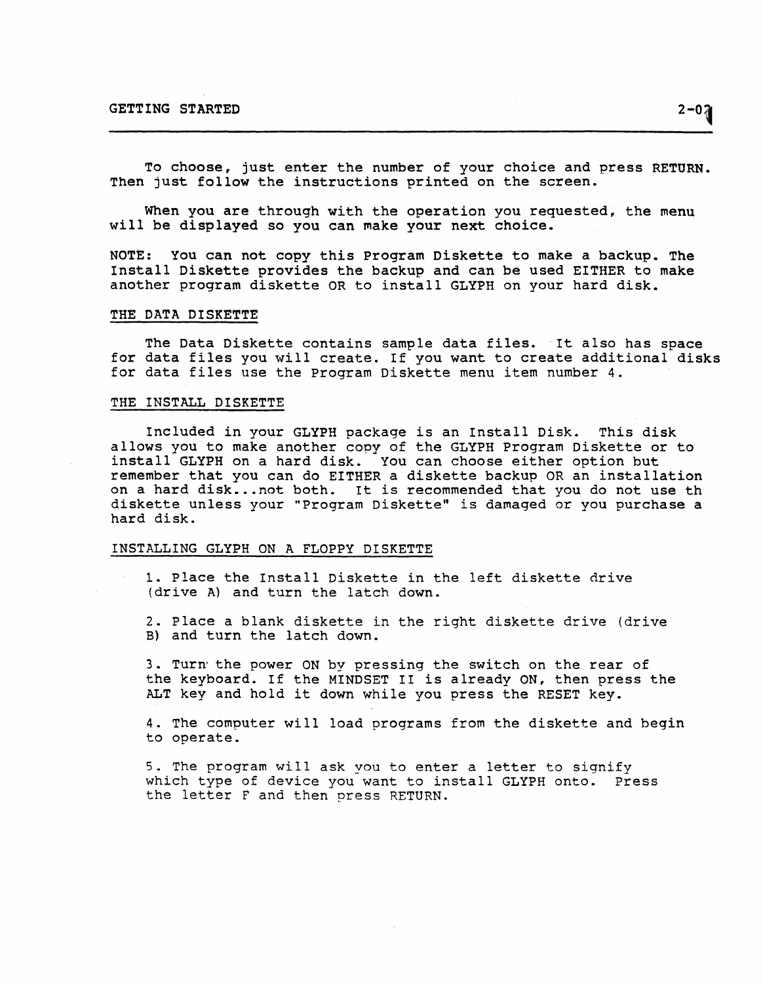To choose, just enter the number of your choice and press RETURN. Then just follow the instructions printed on the screen.

When you are through with the operation you requested, the menu will be displayed so you can make your next choice.

NOTE: You can not copy this Program Diskette to make a backup. The Install Diskette provides the backup and can be used EITHER to make another program diskette OR to install GLYPH on your hard disk.

## THE DATA DISKETTE

The Data Diskette contains sample data files. It also has space for data files you will create. If you want to create additional disks for data files use the program Diskette menu item number 4.

## THE INSTALL DISKETTE

Included in your GLYPH package is an Install Disk. This disk allows you to make another copy of the GLYPH Program Diskette or to install GLYPH on a hard disk. You can choose either option but remember that you can do EITHER a diskette backup OR an installation on a hard disk... not both. It is recommended that you do not use th diskette unless your "Program Diskette" is damaged or you purchase a hard disk.

#### INSTALLING GLYPH ON A FLOPPY DISKETTE

1. Place the Install Diskette in the left diskette drive (drive A) and turn the latch down.

2. Place a blank diskette in the right diskette drive (drive B) and turn the latch down.

3. Turn'the power ON by pressing the switch on the rear of the keyboard. If the MINDSET II is already ON, then press the ALT key and hold it down while you press the RESET key.

4. The computer will load programs from the diskette and begin to operate.

5. The program will ask you to enter a letter to signify which type of device you want to install GLYPH onto. Press the letter F and then press RETURN.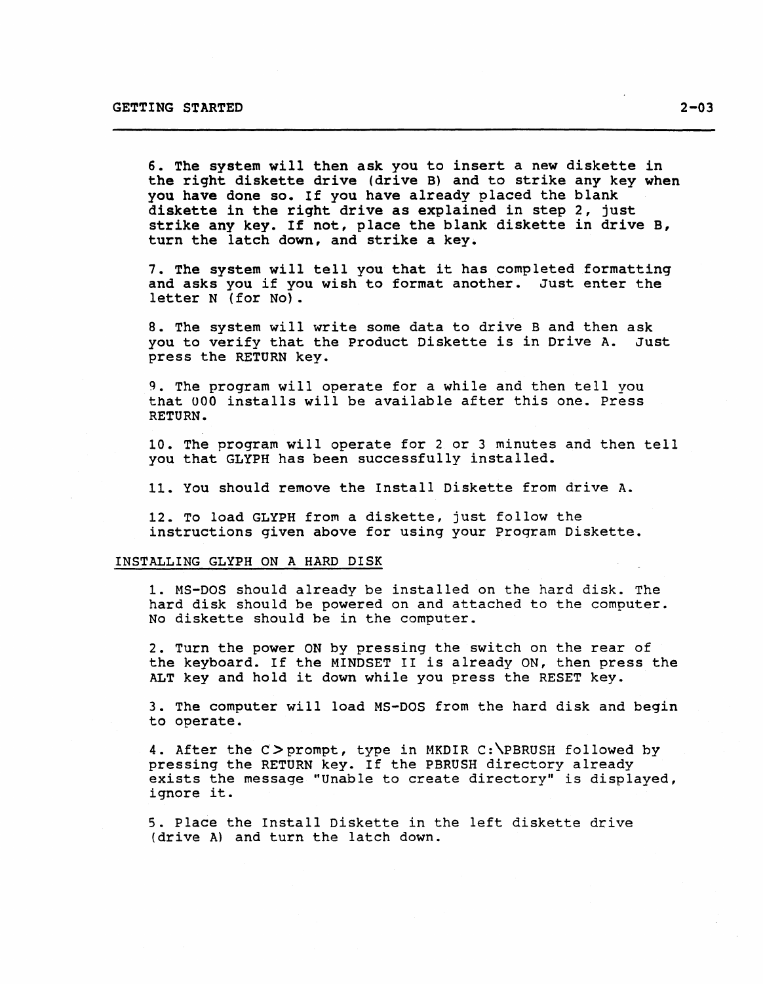6. The system will then ask you to insert a new diskette in the right diskette drive (drive B) and to strike any key when you have done so. If you have already placed the blank diskette in the right drive as explained in step 2, just strike any key. If not, place the blank diskette in drive B, turn the latch down, and strike a key.

7. The system will tell you that it has completed formatting and asks you if you wish to format another. Just enter the letter N (for No).

8. The system will write some data to drive B and then ask you to verify that the Product Diskette is in Drive A. Just press the RETURN key.

9. The program will operate for a while and then tell you that UOO installs will be available after this one. Press RETURN.

10. The program will operate for 2 or 3 minutes and then tell you that GLYPH has been successfully installed.

11. You should remove the Install Diskette from drive A.

12. To load GLYPH from a diskette, just follow the instructions given above for using your Program Diskette.

## INSTALLING GLYPH ON A HARD DISK

1. MS-DOS should already be installed on the hard disk. The hard disk should be powered on and attached to the computer. No diskette should be in the computer.

2. Turn the power ON by pressing the switch on the rear of the keyboard. If the MINDSET II is already ON, then press the ALT key and hold it down while you press the RESET key.

3. The computer will load MS-DOS from the hard disk and begin to operate.

4. After the C>prompt, type in MKDIR C:\PBRUSH followed by pressing the RETURN key. If the PBRUSH directory already exists the message "Unable to create directory" is displayed, ignore it.

5. Place the Install Diskette in the left diskette drive (drive A) and turn the latch down.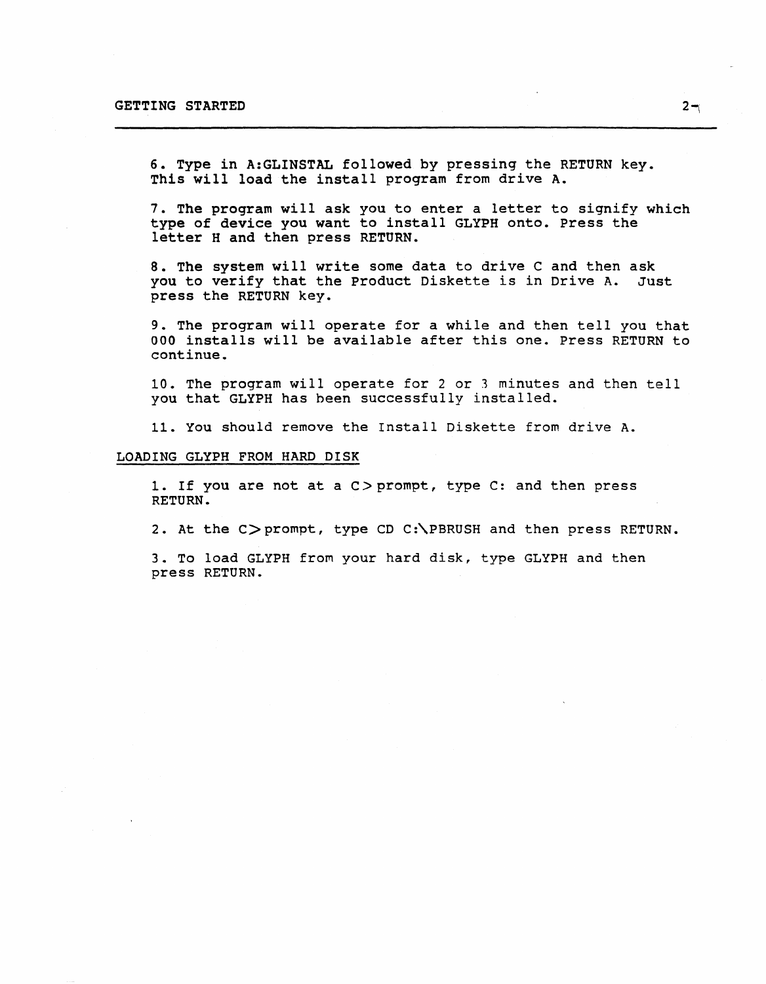6. Type in A:GLINSTAL followed by pressing the RETURN key. This will load the install program from drive A.

7. The program will ask you to enter a letter to signify which type of device you want to install GLYPH onto. Press the letter H and then press RETURN.

8. The system will write some data to drive C and then ask you to verify that the product Diskette is in Drive A. Just press the RETURN key.

9. The program will operate for a while and then tell you that 000 installs will be available after this one. Press RETURN to continue.

10. The program will operate for 2 or 3 minutes and then tell you that GLYPH has been successfully installed.

11. You should remove the Install Diskette from drive A.

#### LOADING GLYPH FROM HARD DISK

1. If you are not at a C>prompt, type C: and then press RETURN.

2. At the C>prompt, type CD C:\PBRUSH and then press RETURN.

3. To load GLYPH from your hard disk, type GLYPH and then press RETURN.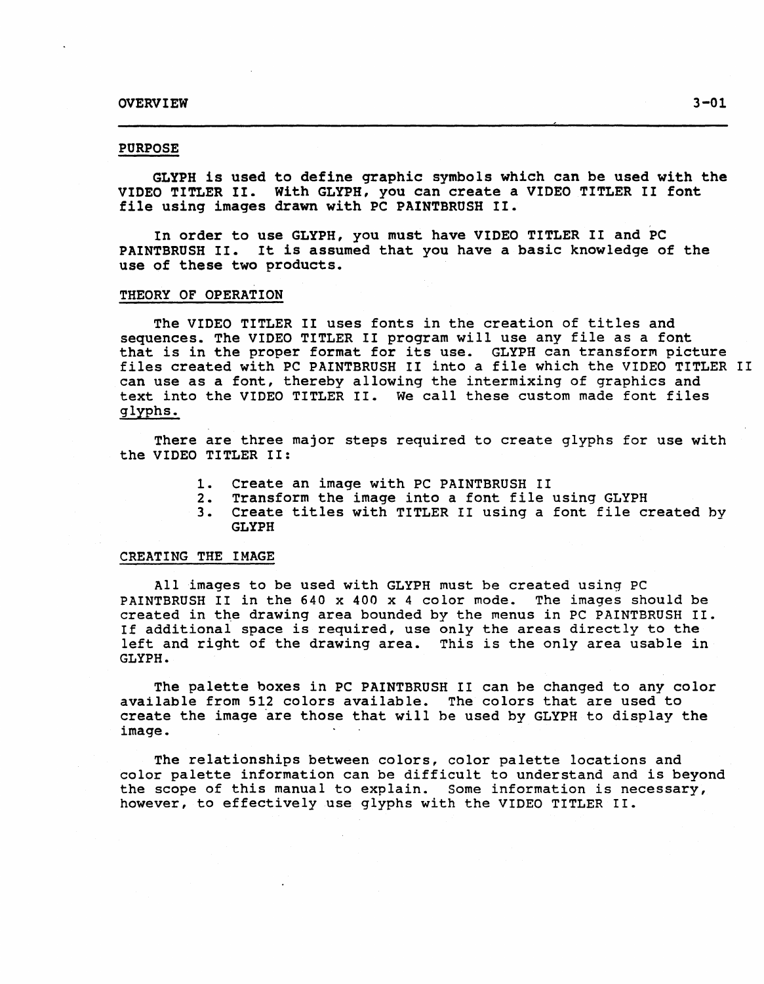# PURPOSE

GLYPH is used to define graphic symbols which can be used with the VIDEO TITLER II. With GLYPH, you can create a VIDEO TITLER II font file using images drawn with PC PAINTBRUSH II.

In order to use GLYPH, you must have VIDEO TITLER II and PC PAINTBRUSH II. It is assumed that you have a basic knowledge of the use of these two products.

# THEORY OF OPERATION

The VIDEO TITLER II uses fonts in the creation of titles and sequences. The VIDEO TITLER II program will use any file as a font that is in the proper format for its use. GLYPH can transform picture files created with PC PAINTBRUSH II into a file which the VIDEO TITLER II can use as a font, thereby allowing the intermixing of graphics and text into the VIDEO TITLER II. We call these custom made font files glyphs.

There are three major steps required to create glyphs for use with the VIDEO TITLER II:

- 1. Create an image with PC PAINTBRUSH II<br>2. Transform the image into a font file
- 2. Transform the image into a font file using GLYPH
- Create titles with TITLER II using a font file created by GLYPH

#### CREATING THE IMAGE

All images to be used with GLYPH must be created using PC PAINTBRUSH II in the 640 x 400 x 4 color mode. The images should be created in the drawing area bounded by the menus in PC PAINTBRUSH II. If additional space is required, use only the areas directly to the left and right of the drawing area. This is the only area usable in GLYPH.

The palette boxes in PC PAINTBRUSH II can be changed to any color available from 512 colors available. The colors that are used to create the image 'are those that will he used by GLYPH to display the image.

The relationships between colors, color palette locations and color palette information can be difficult to understand and is beyond the scope of this manual to explain. Some information is necessary, however, to effectively use glyphs with the VIDEO TITLER II.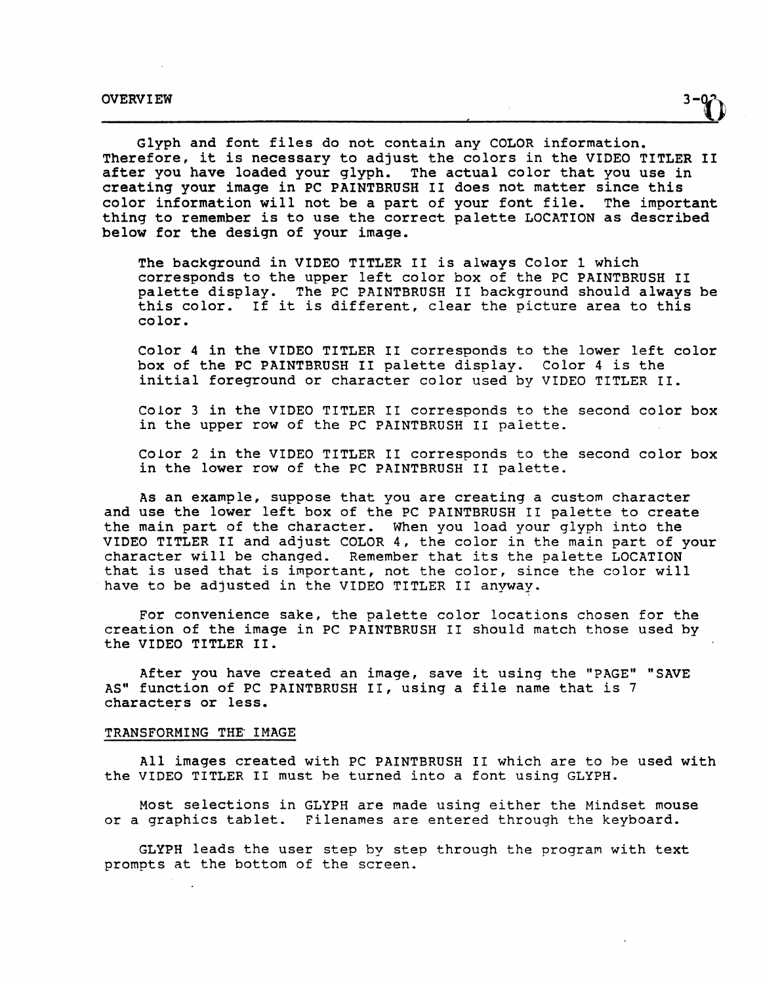Glyph and font files do not contain any COLOR information. Therefore, it is necessary to adjust the colors in the VIDEO TITLER II after you have loaded your glyph. The actual color that you use in creating your image in PC PAINTBRUSH II does not matter since this color information will not be a part of your font file. The important thing to remember is to use the correct palette LOCATION as described below for the design of your image.

The background in VIDEO TITLER II is always Color 1 which corresponds to the upper left color box of the PC PAINTBRUSH II palette display. The PC PAINTBRUSH II background should always be this color. If it is different, clear the picture area to this color.

Color 4 in the VIDEO TITLER II corresponds to the lower left color box of the PC PAINTBRUSH II palette display. Color 4 is the initial foreground or character color used by VIDEO TITLER II.

Color 3 in the VIDEO TITLER II corresponds to the second color box in the upper row of the PC PAINTBRUSH II palette.

Color 2 in the VIDEO TITLER II corresponds to the second color box in the lower row of the PC PAINTBRUSH II palette.

As an example, suppose that you are creating a custom character and use the lower left box of the PC PAINTBRUSH II palette to create the main part of the character. When you load your glyph into the VIDEO TITLER II and adjust COLOR 4, the color in the main part of your character will be changed. Remember that its the palette LOCATION that is used that is important, not the color, since the color will have to be adjusted in the VIDEO TITLER II anyway.

For convenience sake, the palette color locations chosen for the creation of the image in PC PAINTBRUSH II should match those used by the VIDEO TITLER II.

After you have created an image, save it using the "PAGE" "SAVE AS" function of PC PAINTBRUSH II, using a file name that is 7 characters or less.

## TRANSFORMING THE IMAGE

All images created with PC PAINTBRUSH II which are to he used with the VIDEO TITLER II must he turned into a font using GLYPH.

Most selections in GLYPH are made using either the Mindset mouse or a graphics tablet. Filenames are entered through the keyboard.

GLYPH leads the user step by step through the program with text prompts at the bottom of the screen.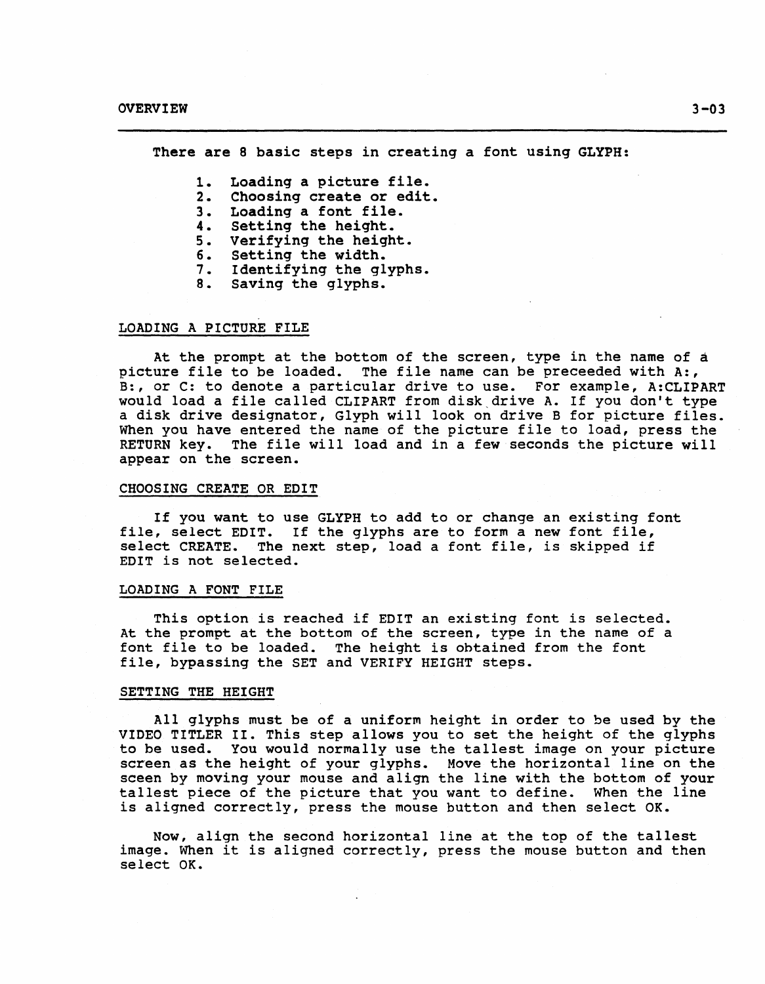There are 8 basic steps in creating a font using GLYPH:

- 1. Loading a picture file.
- 2. Choosing create or edit.
- 3. Loading a font file.<br>4. Setting the height.
- 4. Setting the height.<br>5. Verifying the heigh
- Verifying the height.
- 6. Setting the width.
- 7. Identifying the glyphs.<br>8. Saving the glyphs.
- Saving the glyphs.

## LOADING A PICTURE FILE

At the prompt at the bottom of the screen, type in the name of a picture file to be loaded. The file name can be preceeded with A:, B:, or C: to denote a particular drive to use. For example, A:CLIPART would load a file called CLIPART from disk,drive A. If you don't type a disk drive designator, Glyph will look on drive B for picture files. When you have entered the name of the picture file to load, press the RETURN key. The file will load and in a few seconds the picture will appear on the screen.

#### CHOOSING CREATE OR EDIT

If you want to use GLYPH to add to or change an existing font file, select EDIT. If the glyphs are to form a new font file, select CREATE. The next step, load a font file, is skipped if EDIT is not selected.

## LOADING A FONT FILE

This option is reached if EDIT an existing font is selected. At the prompt at the bottom of the screen, type in the name of a<br>font file to be loaded. The height is obtained from the font The height is obtained from the font file, bypassing the SET and VERIFY HEIGHT steps.

#### SETTING THE HEIGHT

All glyphs must be of a uniform height in order to be used by the VIDEO TITLER II. This step allows you to set the height of the glyphs to be used. You would normally use the tallest image on your picture screen as the height of your glyphs. Move the horizontal line on the sceen by moving your mouse and align the line with the bottom of your tallest piece of the picture that you want to define. When the line is aligned correctly, press the mouse button and then select OK.

Now, align the second horizontal line at the top of the tallest image. When it is aligned correctly, press the mouse button and then select OK.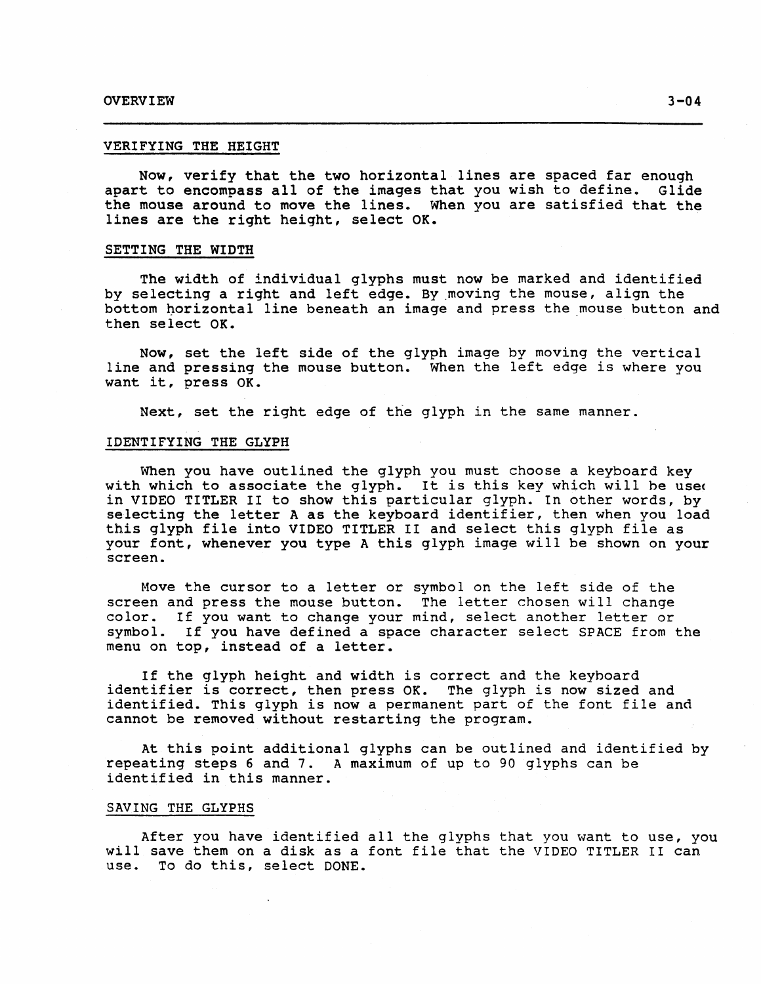#### VERIFYING THE HEIGHT

Now, verify that the two horizontal lines are spaced far enough apart to encompass all of the images that you wish to define. Glide the mouse around to move the lines. When you are satisfied that the lines are the right height, select OK.

## SETTING THE WIDTH

The width of individual glyphs must now be marked and identified by selecting a right and left edge. By.moving the mouse, align the bottom horizontal line beneath an image and press the mouse button and then select OK.

Now, set the left side of the glyph image by moving the vertical line and pressing the mouse button. When the left edge is where you want it, press OK.

Next, set the right edge of the glyph in the same manner.

#### IDENTIFYING THE GLYPH

When you have outlined the glyph you must choose a keyboard key with which to associate the glyph. It is this key which will be used in VIDEO TITLER II to show this particular glyph. In other words, by selecting the letter A as the keyboard identifier, then when you load this glyph file into VIDEO TITLER II and select this glyph file as your font, whenever you type A this glyph image will be shown on your screen.

Move the cursor to a letter or symbol on the left side of the screen and press the mouse button. The letter chosen will change color. If you want to change your mind, select another letter or If you want to change your mind, select another letter or symbol. If you have defined a space character select SPACE from the menu on top, instead of a letter.

If the glyph height and width is correct and the keyboard identifier is correct, then press OK. The glyph is now sized and identified. This glyph is now a permanent part of the font file and cannot be removed without restarting the program.

At this point additional glyphs can be outlined and identified by repeating steps 6 and 7. A maximum of up to 90 glyphs can be identified in this manner.

## SAVING THE GLYPHS

After you have identified all the glyphs that you want to use, you will save them on a disk as a font file that the VIDEO TITLER II can use. To do this, select DONE.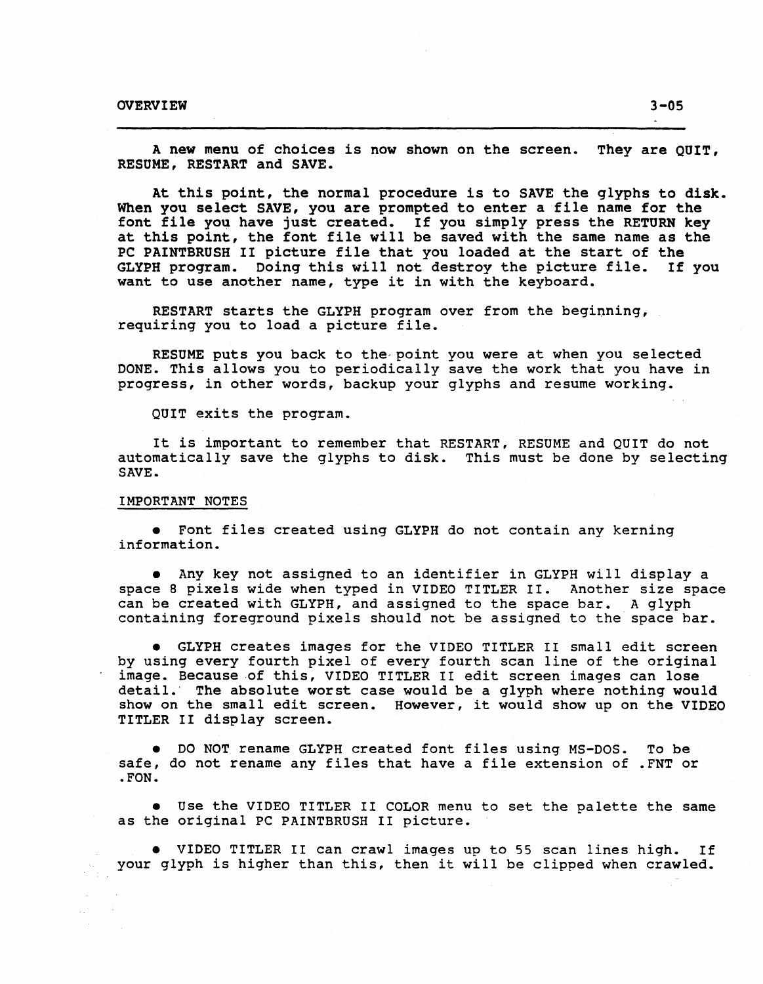A new menu of choices is now shown on the screen. They are QUIT, RESUME, RESTART and SAVE.

At this point, the normal procedure is to SAVE the glyphs to disk. When you select SAVE, you are prompted to enter a file name for the font file you have just created. If you simply press the RETURN key at this point, the font file will be saved with the same name as the PC PAINTBRUSH II picture file that you loaded at the start of the<br>GLYPH program. Doing this will not destroy the picture file. If you GLYPH program. Doing this will not destroy the picture file. want to use another name, type it in with the keyboard.

RESTART starts the GLYPH program over from the beginning, requiring you to load a picture file.

RESUME puts you back to the'point you were at when you selected DONE. This allows you to periodically save the work that you have in progress, in other words, backup your glyphs and resume working.

QUIT exits the program.

It is important to remember that RESTART, RESUME and QUIT do not automatically save the glyphs to disk. This must be done by selecting SAVE.

#### IMPORTANT NOTES

• Font files created using GLYPH do not contain any kerning information.

• Any key not assigned to an identifier in GLYPH will display a space 8 pixels wide when typed in VIDEO TITLER II. Another size space can be created with GLYPH, and assigned to the space bar. A glyph containing foreground pixels should not be assigned to the space bar.

• GLYPH creates images for the VIDEO TITLER II small edit screen by using every fourth pixel of every fourth scan line of the original image. Because of this, VIDEO TITLER II edit screen images can lose detail.' The absolute worst case would be a glyph where nothing would show on the small edit screen. However, it would show up on the VIDEO TITLER II display screen.

• DO NOT rename GLYPH created font files using MS-DOS. To be safe, do not rename any files that have a file extension of .FNT or .FON.

• Use the VIDEO TITLER II COLOR menu to set the palette the same as the original PC PAINTBRUSH II picture.

• VIDEO TITLER II can crawl images up to 55 scan lines high. If your glyph is higher than this, then it will be clipped when crawled.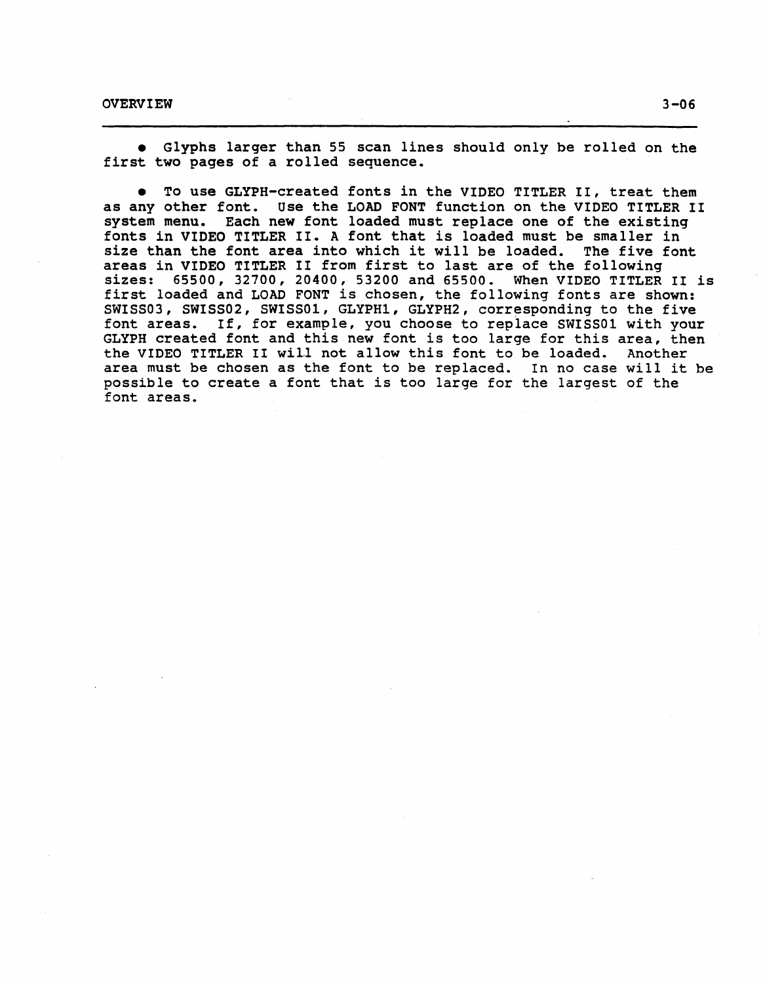• Glyphs larger than 55 scan lines should only be rolled on the first two pages of a rolled sequence.

• To use GLYPH-created fonts in the VIDEO TITLER II, treat them as any other font. Use the LOAD FONT function on the VIDEO TITLER II system menu. Each new font loaded must replace one of the existing Each new font loaded must replace one of the existing fonts in VIDEO TITLER II. A font that is loaded must be smaller in size than the font area into which it will be loaded. The five font areas in VIDEO TITLER II from first to last are of the following sizes: 65500, 32700, 20400, 53200 and 65500. When VIDEO TITLER II is first loaded and LOAD FONT is chosen, the following fonts are shown: SWISS03, SWISS02, SWISS01, GLYPH1, GLYPH2, corresponding to the five font areas. If, for example, you choose to replace SWISSOl with your GLYPH created font and this new font is too large for this area, then the VIDEO TITLER II will not allow this font to be loaded. Another the VIDEO TITLER II will not allow this font to be loaded. area must be chosen as the font to be replaced. In no case will it be possible to create a font that is too large for the largest of the font areas.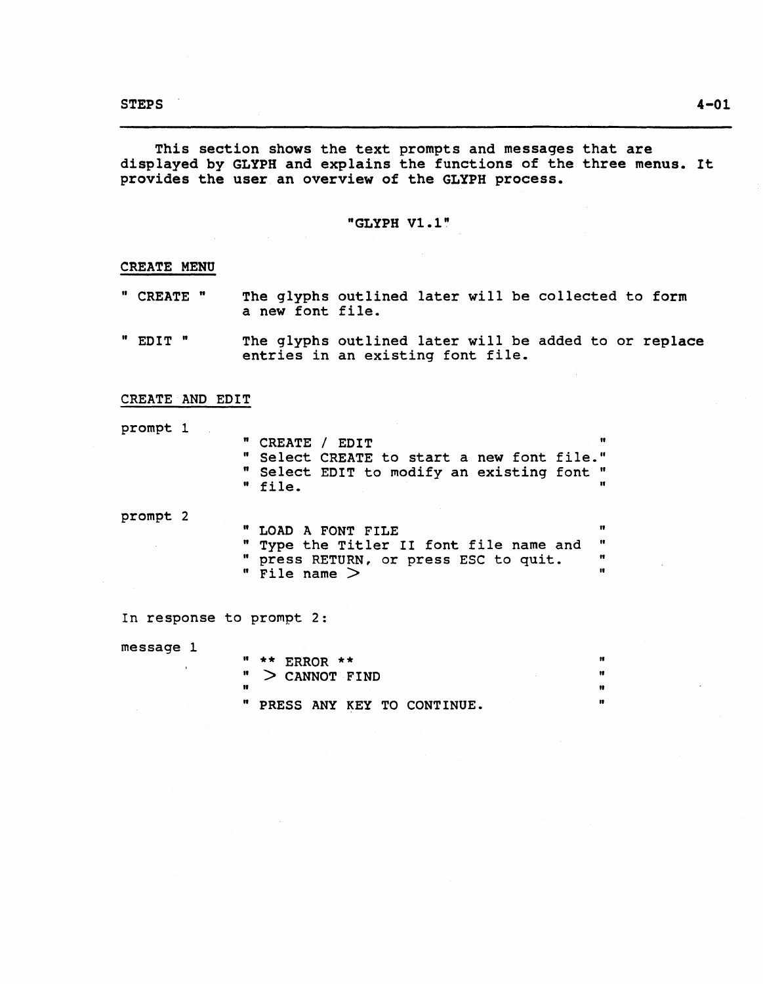This section shows the text prompts and messages that are displayed by GLYPH and explains the functions of the three menus. It provides the user an overview of the GLYPH process.

# "GLYPH Vl.l"

# CREATE MENU

- " CREATE " The glyphs outlined later will be collected to form a new font file.
- " EDIT " The glyphs outlined later will be added to or replace entries in an existing font file.

# CREATE AND EDIT

 $\mathcal{L}_{\mathcal{A}}$ 

prompt 1

| " CREATE / EDIT |                                            |  |
|-----------------|--------------------------------------------|--|
|                 | " Select CREATE to start a new font file." |  |
|                 | " Select EDIT to modify an existing font " |  |
| " file.         |                                            |  |
|                 |                                            |  |

prompt 2

" LOAD A FONT FILE " Type the Titler II font file name and " press RETURN, or press ESC to quit.  $"$  File name  $>$  $\pmb{\mathfrak{m}}$  $\pmb{\mathfrak{m}}$ " "

In response to prompt 2:

message 1

It \*\* ERROR \*\* " " > CANNOT FIND " .. " " PRESS ANY KEY TO CONTINUE. "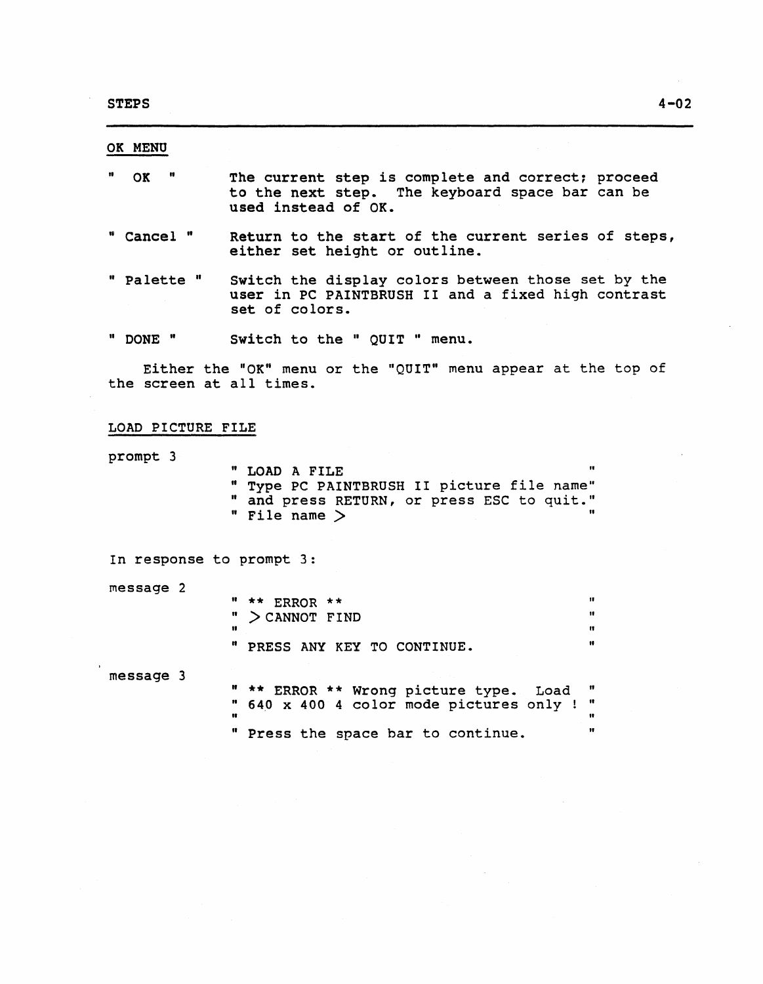OK MENU

- " OK " The current step is complete and correct: proceed to the next step. The keyboard space bar can be used instead of OK.
- " Cancel " Return to the start of the current series of steps, either set height or outline.
- " Palette " Switch the display colors between those set by the user in PC PAINTBRUSH II and a fixed high contrast set of colors.
- " DONE " Switch to the " QUIT " menu.

Either the "OK" menu or the "QUIT" menu appear at the top of the screen at all times.

## LOAD PICTURE FILE

prompt 3

" LOAD A FILE " " Type PC PAINTBRUSH II picture file name" " and press RETURN, or press ESC to quit." " File name  $>$ 

In response to prompt 3:

message 2

message 3

|      | " $**$ ERROR $**$            | 18 |
|------|------------------------------|----|
|      | " $>$ CANNOT FIND            | 11 |
| - 18 |                              |    |
|      | " PRESS ANY KEY TO CONTINUE. |    |

" \*\* ERROR \*\* Wrong picture type. Load "  $\frac{1}{10}$  640 x 400 4 color mode pictures only !  $\frac{1}{10}$  $\mathbf{r}$  , and the contract of the contract of the contract of the contract of the contract of the contract of the contract of the contract of the contract of the contract of the contract of the contract of the contract o " Press the space bar to continue. "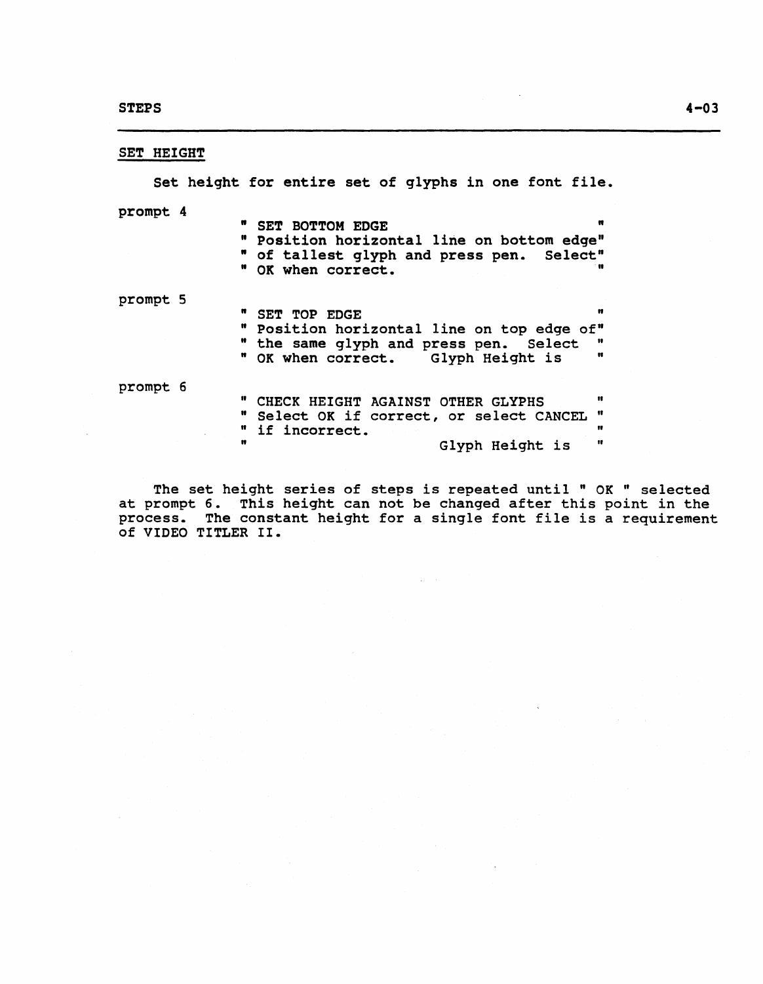# SET HEIGHT

Set height for entire set of glyphs in one font file. prompt 4 prompt 5 prompt 6 " SET BOTTOM EDGE " " Position horizontal line on bottom edge" " of tallest glyph and press pen. Select" " OK when correct. " SET TOP EDGE " " Position horizontal line on top edge of"<br>" the same glyph and press pen. Select " " OK when correct. Glyph Height is " " CHECK HEIGHT AGAINST OTHER GLYPHS " " Select OK if correct, or select CANCEL " " if incorrect. "<br>"
Glyph Height is " Glyph Height is

The set height series of steps is repeated until " OK " selected at prompt 6. This height can not be changed after this point in the process. The constant height for a single font file is a requirement of VIDEO TITLER II.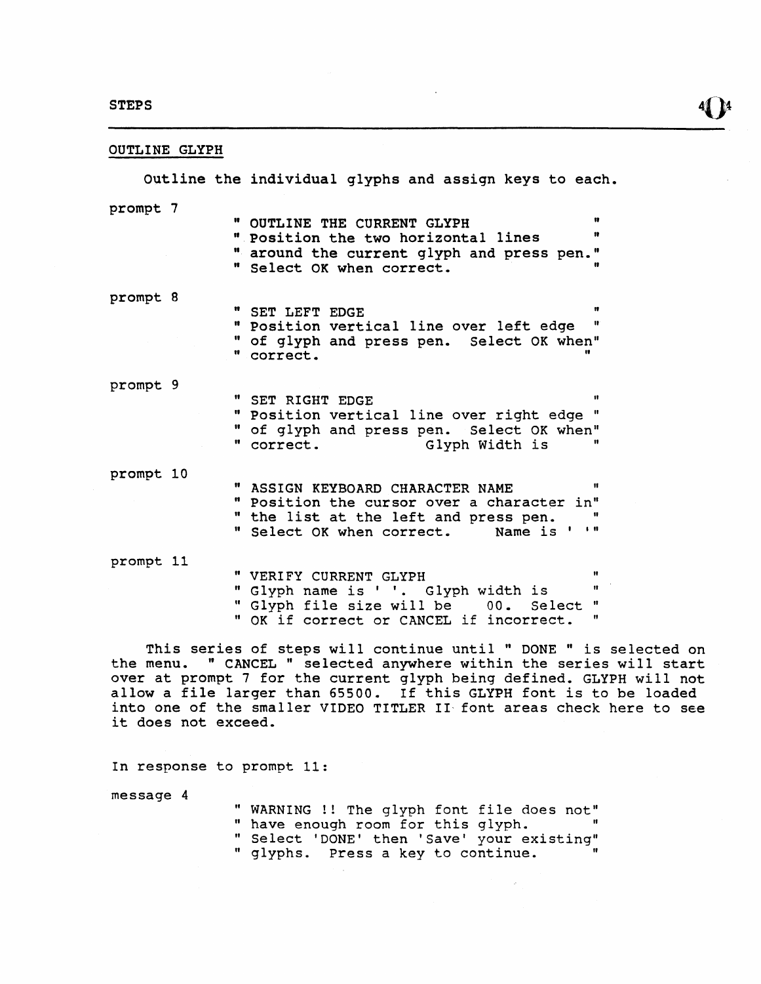# OUTLINE GLYPH

|           |  | Outline the individual glyphs and assign keys to each.                                                                                                                                           |  |
|-----------|--|--------------------------------------------------------------------------------------------------------------------------------------------------------------------------------------------------|--|
| prompt 7  |  | n<br>" OUTLINE THE CURRENT GLYPH<br>11<br>" Position the two horizontal lines<br>" around the current glyph and press pen."<br>" Select OK when correct.                                         |  |
| prompt 8  |  | n<br>" SET LEFT EDGE<br>Ħ<br>" Position vertical line over left edge<br>" of glyph and press pen. Select OK when"<br>" correct.                                                                  |  |
| prompt 9  |  | $\mathbf{u}$<br>" SET RIGHT EDGE<br>" Position vertical line over right edge "<br>" of glyph and press pen. Select OK when"<br>Glyph Width is<br>11<br>" correct.                                |  |
| prompt 10 |  | $\mathbf{H}$<br>" ASSIGN KEYBOARD CHARACTER NAME<br>" Position the cursor over a character in"<br>" the list at the left and press pen.<br>$\blacksquare$<br>" Select OK when correct. Name is ' |  |
| prompt 11 |  | 11<br>" VERIFY CURRENT GLYPH<br>Ħ.<br>" Glyph name is ' '. Glyph width is<br>Select "<br>" Glyph file size will be 00.<br>n<br>" OK if correct or CANCEL if incorrect.                           |  |

This series of steps will continue until " DONE " is selected on the menu. "CANCEL" selected anywhere within the series will start over at prompt 7 for the current glyph being defined. GLYPH will not allow a file larger than 65500. If this GLYPH font is to be loaded into one of the smaller VIDEO TITLER II- font areas check here to see it does not exceed.

In response to prompt 11:

message 4

| " WARNING !! The glyph font file does not" |  |  |  |
|--------------------------------------------|--|--|--|
| " have enough room for this glyph.         |  |  |  |
| " Select 'DONE' then 'Save' your existing" |  |  |  |
| " glyphs. Press a key to continue.         |  |  |  |

 $\sim$ 

 $\sim$   $\sim$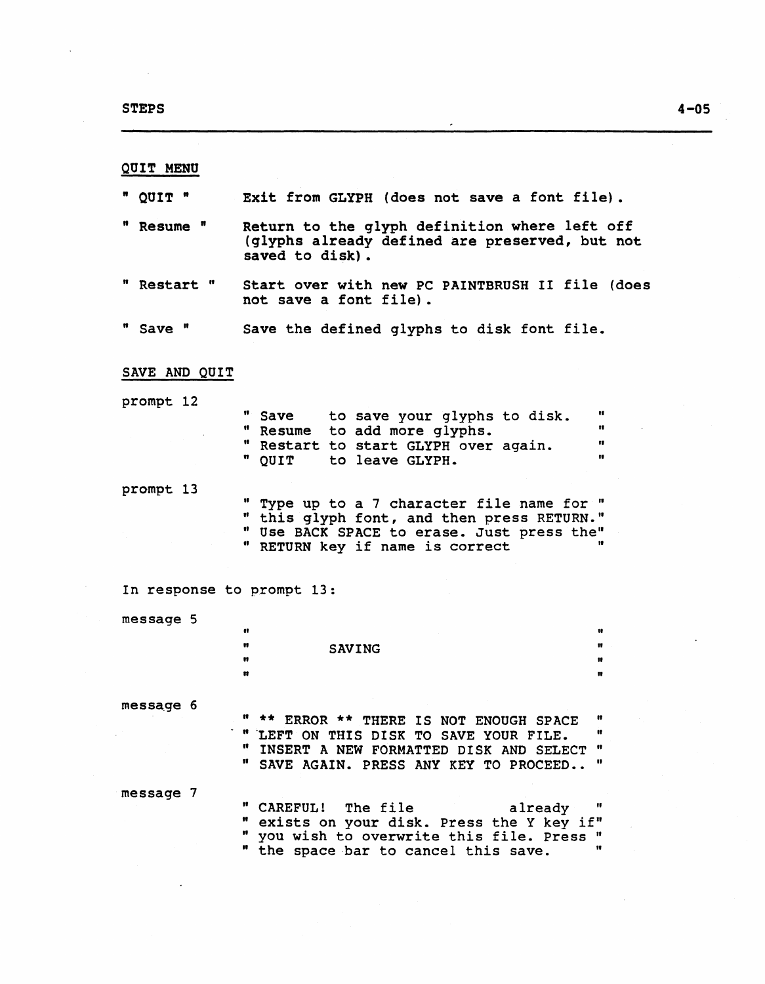$\bar{z}$ 

 $\ddot{\phantom{a}}$ 

| QUIT MENU                 |                                                                                                                                                                                          |                     |
|---------------------------|------------------------------------------------------------------------------------------------------------------------------------------------------------------------------------------|---------------------|
| " QUIT "                  | Exit from GLYPH (does not save a font file).                                                                                                                                             |                     |
| Resume "                  | Return to the glyph definition where left off<br>(glyphs already defined are preserved, but not<br>saved to disk).                                                                       |                     |
| " Restart "               | Start over with new PC PAINTBRUSH II file (does<br>not save a font file).                                                                                                                |                     |
| " Save "                  | Save the defined glyphs to disk font file.                                                                                                                                               |                     |
| SAVE AND QUIT             |                                                                                                                                                                                          |                     |
| prompt 12                 | $\mathbf{u}$<br>Save to save your glyphs to disk.<br>" Resume to add more glyphs.<br>" Restart to start GLYPH over again.<br>" QUIT<br>to leave GLYPH.                                   | n<br>11<br>n<br>Ħ   |
| prompt 13                 | " Type up to a 7 character file name for "<br>" this glyph font, and then press RETURN."<br>" Use BACK SPACE to erase. Just press the"<br>" RETURN key if name is correct                |                     |
| In response to prompt 13: |                                                                                                                                                                                          |                     |
| message 5                 | n<br>n<br><b>SAVING</b><br>n<br>m                                                                                                                                                        | n<br>88.<br>11<br>n |
| message 6                 | " ** ERROR ** THERE IS NOT ENOUGH SPACE<br>" LEFT ON THIS DISK TO SAVE YOUR FILE.<br>$\mathbf{u}$<br>INSERT A NEW FORMATTED DISK AND SELECT<br>n<br>SAVE AGAIN. PRESS ANY KEY TO PROCEED | n<br>n<br>"<br>Ħ    |
| message 7                 | " CAREFUL! The file<br>already<br>exists on your disk. Press the Y key if"<br>you wish to overwrite this file. Press "<br>the space bar to cancel this save.                             | Ħ                   |

 $\overline{\phantom{a}}$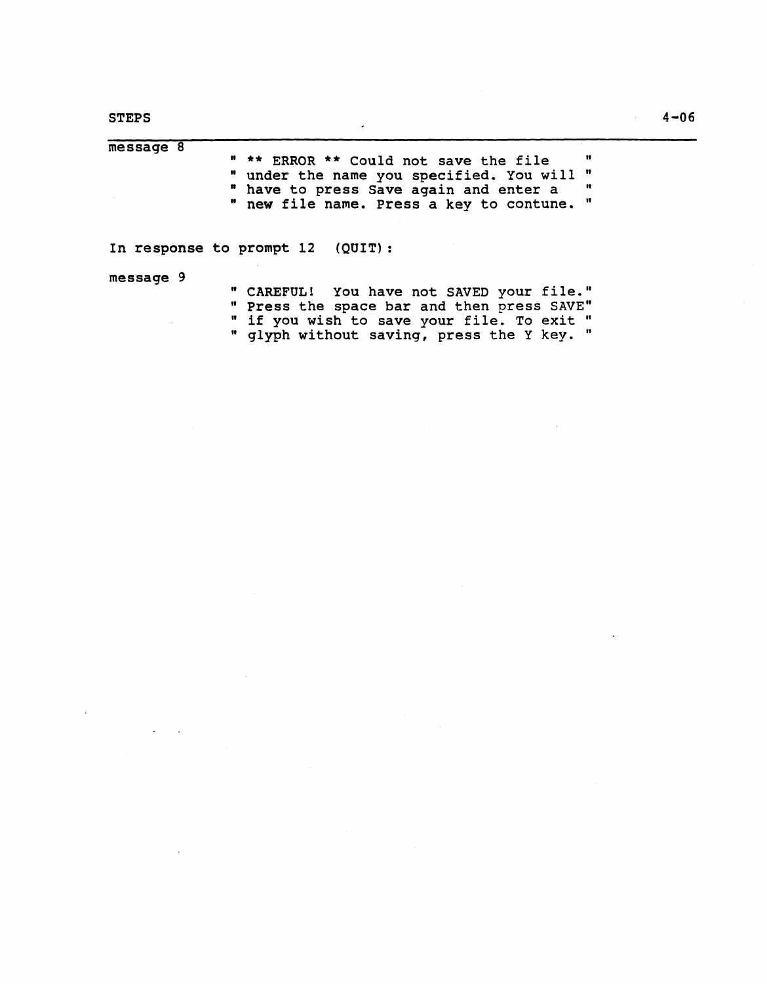$\tilde{\phantom{a}}$  $\mathcal{A}$ 

| $me$ sage $8$<br>Ħ<br>" ** ERROR ** Could not save the file<br>n<br>" under the name you specified. You will<br>" have to press Save again and enter a<br>$\mathbf{u}$<br>Ħ<br>" new file name. Press a key to contune. |
|-------------------------------------------------------------------------------------------------------------------------------------------------------------------------------------------------------------------------|
| In response to prompt 12 (QUIT):<br>message 9<br>" CAREFUL! You have not SAVED your file."<br>" Press the space bar and then press SAVE"<br>" if you wish to save your file. To exit "                                  |
| " glyph without saving, press the Y key.                                                                                                                                                                                |

 $\overline{\phantom{a}}$ 

 $\hat{\mathcal{A}}$ 

 $\bar{z}$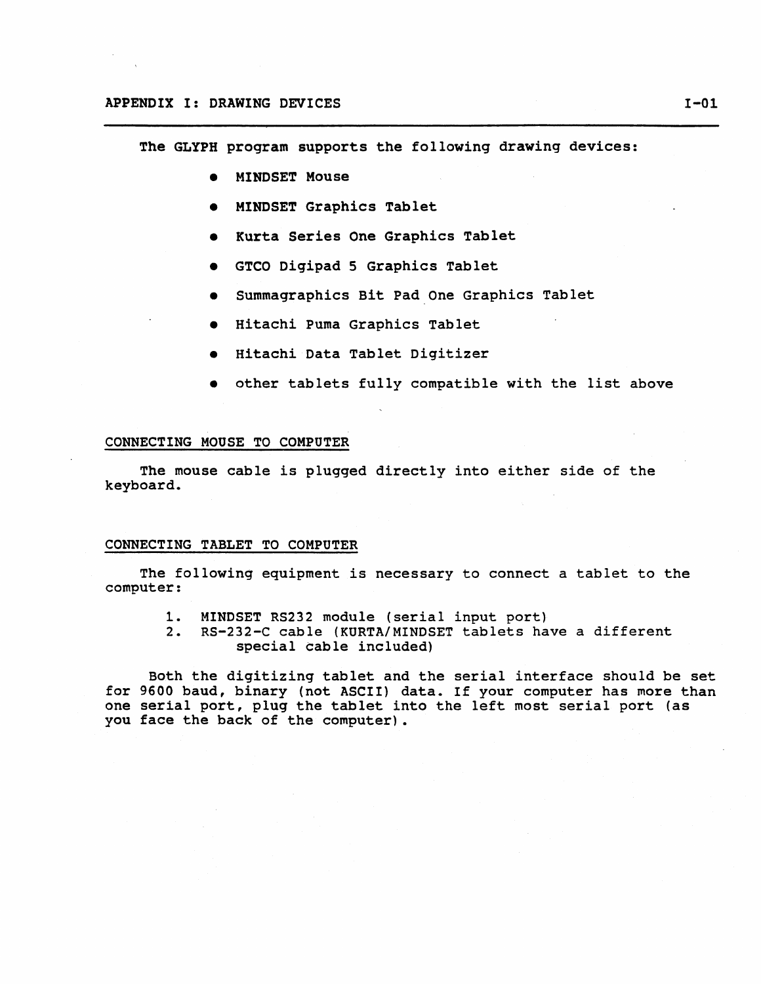The GLYPH program supports the following drawing devices:

- MINDSET Mouse
- MINDSET Graphics Tablet
- Kurta Series One Graphics Tablet
- GTCO Digipad 5 Graphics Tablet
- Summagraphics Bit pad.One Graphics Tablet
- Hitachi Puma Graphics Tablet
- Hitachi Data Tablet Digitizer
- other tablets fully compatible with the list above

## CONNECTING MOUSE TO COMPUTER

The mouse cable is plugged directly into either side of the keyboard.

## CONNECTING TABLET TO COMPUTER

The following equipment is necessary to connect a tablet to the computer:

- 1. MINDSET RS232 module (serial input port)
- 2. RS-232-C cable (KURTA/MINDSET tablets have a different special cable included)

Both the digitizing tablet and the serial interface should be set for 9600 baud, binary (not ASCII) data. If your computer has more than one serial port, plug the tablet into the left most serial port (as you face the back of the computer).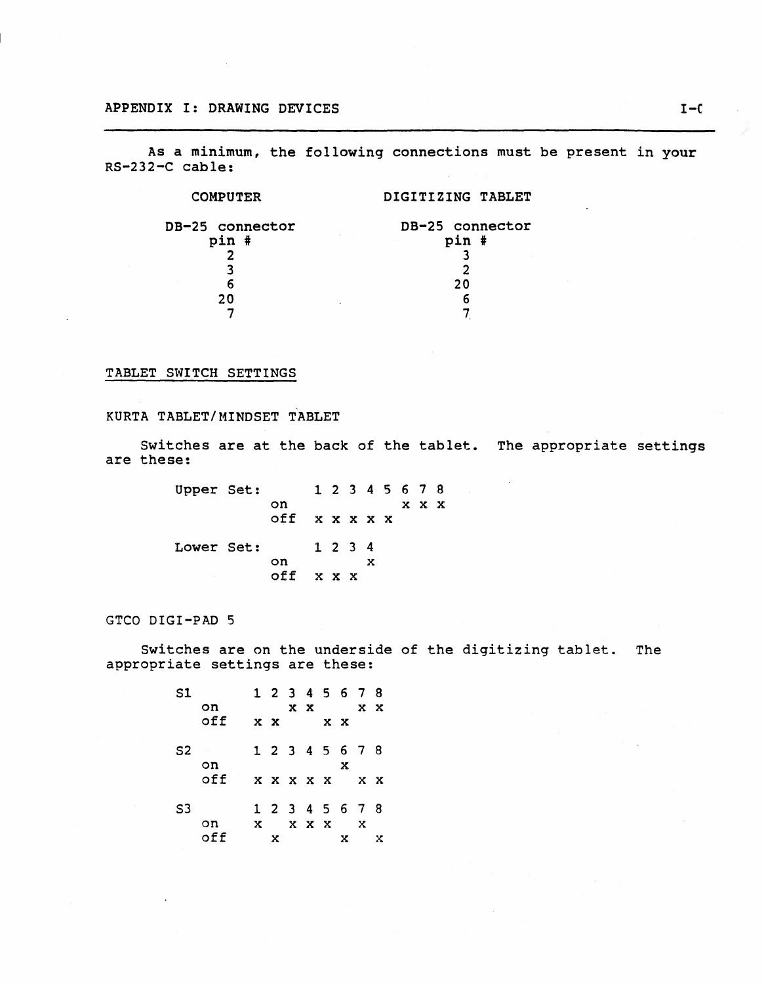As a minimum, the following connections must be present in your RS-232-C cable:

| DIGITIZING TABLET |
|-------------------|
| DB-25 connector   |
| pin #             |
|                   |
|                   |
| 20                |
|                   |
|                   |
|                   |

# TABLET SWITCH SETTINGS

# KURTA TABLET/MINDSET TABLET

Switches are at the back of the tablet. The appropriate settings are these:

| Upper Set: |               |               |         |  |   | 1 2 3 4 5 6 7 8 |             |  |
|------------|---------------|---------------|---------|--|---|-----------------|-------------|--|
|            |               | on            |         |  |   |                 | $X$ $X$ $X$ |  |
|            |               | off x x x x x |         |  |   |                 |             |  |
| Lower Set: |               |               | 1 2 3 4 |  |   |                 |             |  |
|            |               | on            |         |  | x |                 |             |  |
|            | and the state | off $x x x$   |         |  |   |                 |             |  |

GTCO DIGI-PAD 5

Switches are on the underside of the digitizing tablet. The appropriate settings are these:

| S1     |     |                | 1 2 3 4 5 6 7 8 |         |             |            |   |
|--------|-----|----------------|-----------------|---------|-------------|------------|---|
|        | on  |                |                 |         | $X X$ $X X$ |            |   |
|        | off | $X$ $X$        |                 | $X$ $X$ |             |            |   |
| $S2 -$ |     |                | 1 2 3 4 5 6 7 8 |         |             |            |   |
|        | on  |                |                 |         | x           |            |   |
|        | off |                | X X X X X       |         |             | $X \times$ |   |
| S3     |     |                | 1 2 3 4 5 6 7 8 |         |             |            |   |
|        | on  | $\mathbf{x}$ . | $X$ $X$ $X$ $X$ |         |             |            |   |
|        | off | x.             |                 |         | x           |            | x |